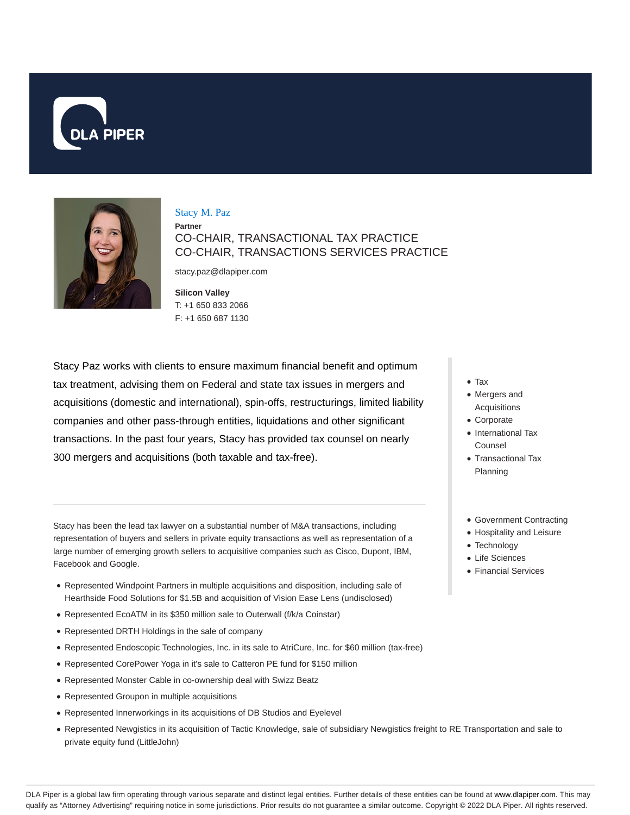



### Stacy M. Paz

**Partner** CO-CHAIR, TRANSACTIONAL TAX PRACTICE CO-CHAIR, TRANSACTIONS SERVICES PRACTICE

stacy.paz@dlapiper.com

**Silicon Valley** T: +1 650 833 2066 F: +1 650 687 1130

Stacy Paz works with clients to ensure maximum financial benefit and optimum tax treatment, advising them on Federal and state tax issues in mergers and acquisitions (domestic and international), spin-offs, restructurings, limited liability companies and other pass-through entities, liquidations and other significant transactions. In the past four years, Stacy has provided tax counsel on nearly 300 mergers and acquisitions (both taxable and tax-free).

Stacy has been the lead tax lawyer on a substantial number of M&A transactions, including representation of buyers and sellers in private equity transactions as well as representation of a large number of emerging growth sellers to acquisitive companies such as Cisco, Dupont, IBM, Facebook and Google.

- Represented Windpoint Partners in multiple acquisitions and disposition, including sale of Hearthside Food Solutions for \$1.5B and acquisition of Vision Ease Lens (undisclosed)
- Represented EcoATM in its \$350 million sale to Outerwall (f/k/a Coinstar)
- Represented DRTH Holdings in the sale of company
- Represented Endoscopic Technologies, Inc. in its sale to AtriCure, Inc. for \$60 million (tax-free)
- Represented CorePower Yoga in it's sale to Catteron PE fund for \$150 million
- Represented Monster Cable in co-ownership deal with Swizz Beatz
- Represented Groupon in multiple acquisitions
- Represented Innerworkings in its acquisitions of DB Studios and Eyelevel
- Represented Newgistics in its acquisition of Tactic Knowledge, sale of subsidiary Newgistics freight to RE Transportation and sale to private equity fund (LittleJohn)
- Tax
- Mergers and Acquisitions
- Corporate
- International Tax Counsel
- Transactional Tax Planning
- Government Contracting
- Hospitality and Leisure
- Technology
- Life Sciences
- Financial Services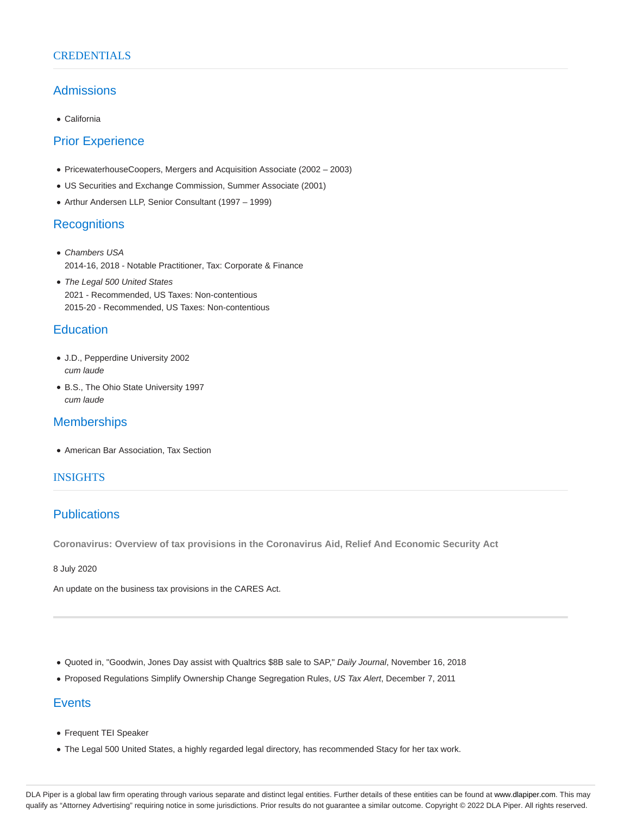### **CREDENTIALS**

### Admissions

California

# Prior Experience

- PricewaterhouseCoopers, Mergers and Acquisition Associate (2002 2003)
- US Securities and Exchange Commission, Summer Associate (2001)
- Arthur Andersen LLP, Senior Consultant (1997 1999)

### **Recognitions**

- Chambers USA 2014-16, 2018 - Notable Practitioner, Tax: Corporate & Finance
- The Legal 500 United States 2021 - Recommended, US Taxes: Non-contentious 2015-20 - Recommended, US Taxes: Non-contentious

### **Education**

- J.D., Pepperdine University 2002 cum laude
- B.S., The Ohio State University 1997 cum laude

# **Memberships**

American Bar Association, Tax Section

### INSIGHTS

# **Publications**

**Coronavirus: Overview of tax provisions in the Coronavirus Aid, Relief And Economic Security Act**

8 July 2020

An update on the business tax provisions in the CARES Act.

- Quoted in, "Goodwin, Jones Day assist with Qualtrics \$8B sale to SAP," Daily Journal, November 16, 2018
- Proposed Regulations Simplify Ownership Change Segregation Rules, US Tax Alert, December 7, 2011

# **Events**

- Frequent TEI Speaker
- The Legal 500 United States, a highly regarded legal directory, has recommended Stacy for her tax work.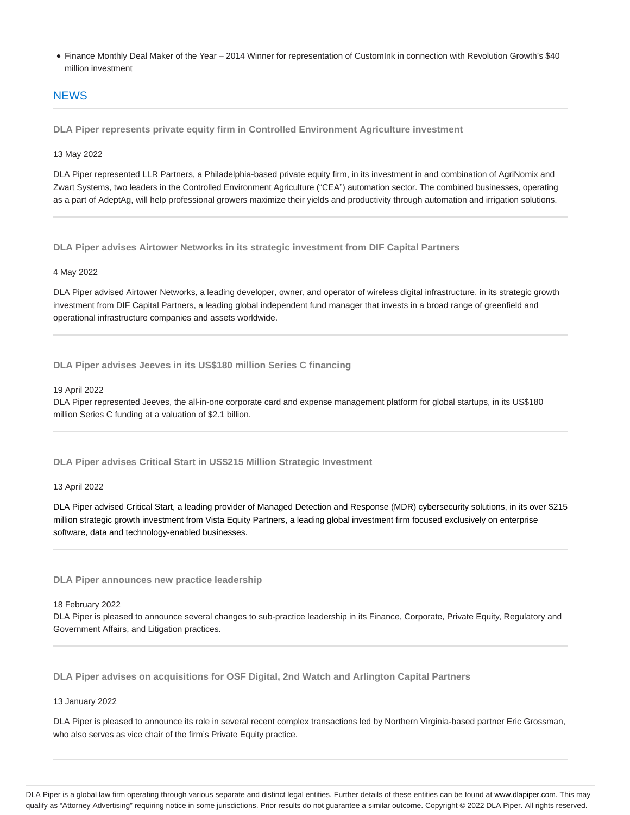Finance Monthly Deal Maker of the Year – 2014 Winner for representation of CustomInk in connection with Revolution Growth's \$40 million investment

### **NEWS**

**DLA Piper represents private equity firm in Controlled Environment Agriculture investment**

### 13 May 2022

DLA Piper represented LLR Partners, a Philadelphia-based private equity firm, in its investment in and combination of AgriNomix and Zwart Systems, two leaders in the Controlled Environment Agriculture ("CEA") automation sector. The combined businesses, operating as a part of AdeptAg, will help professional growers maximize their yields and productivity through automation and irrigation solutions.

**DLA Piper advises Airtower Networks in its strategic investment from DIF Capital Partners**

### 4 May 2022

DLA Piper advised Airtower Networks, a leading developer, owner, and operator of wireless digital infrastructure, in its strategic growth investment from DIF Capital Partners, a leading global independent fund manager that invests in a broad range of greenfield and operational infrastructure companies and assets worldwide.

**DLA Piper advises Jeeves in its US\$180 million Series C financing**

#### 19 April 2022

DLA Piper represented Jeeves, the all-in-one corporate card and expense management platform for global startups, in its US\$180 million Series C funding at a valuation of \$2.1 billion.

**DLA Piper advises Critical Start in US\$215 Million Strategic Investment**

### 13 April 2022

DLA Piper advised Critical Start, a leading provider of Managed Detection and Response (MDR) cybersecurity solutions, in its over \$215 million strategic growth investment from Vista Equity Partners, a leading global investment firm focused exclusively on enterprise software, data and technology-enabled businesses.

**DLA Piper announces new practice leadership**

#### 18 February 2022

DLA Piper is pleased to announce several changes to sub-practice leadership in its Finance, Corporate, Private Equity, Regulatory and Government Affairs, and Litigation practices.

**DLA Piper advises on acquisitions for OSF Digital, 2nd Watch and Arlington Capital Partners**

### 13 January 2022

DLA Piper is pleased to announce its role in several recent complex transactions led by Northern Virginia-based partner Eric Grossman, who also serves as vice chair of the firm's Private Equity practice.

DLA Piper is a global law firm operating through various separate and distinct legal entities. Further details of these entities can be found at www.dlapiper.com. This may qualify as "Attorney Advertising" requiring notice in some jurisdictions. Prior results do not guarantee a similar outcome. Copyright © 2022 DLA Piper. All rights reserved.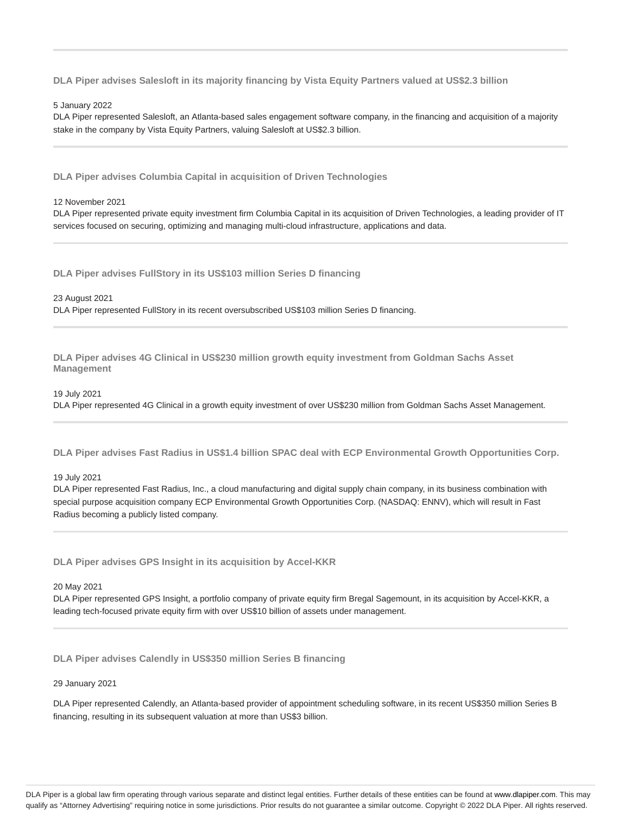**DLA Piper advises Salesloft in its majority financing by Vista Equity Partners valued at US\$2.3 billion**

#### 5 January 2022

DLA Piper represented Salesloft, an Atlanta-based sales engagement software company, in the financing and acquisition of a majority stake in the company by Vista Equity Partners, valuing Salesloft at US\$2.3 billion.

**DLA Piper advises Columbia Capital in acquisition of Driven Technologies**

#### 12 November 2021

DLA Piper represented private equity investment firm Columbia Capital in its acquisition of Driven Technologies, a leading provider of IT services focused on securing, optimizing and managing multi-cloud infrastructure, applications and data.

**DLA Piper advises FullStory in its US\$103 million Series D financing**

23 August 2021 DLA Piper represented FullStory in its recent oversubscribed US\$103 million Series D financing.

**DLA Piper advises 4G Clinical in US\$230 million growth equity investment from Goldman Sachs Asset Management**

19 July 2021 DLA Piper represented 4G Clinical in a growth equity investment of over US\$230 million from Goldman Sachs Asset Management.

**DLA Piper advises Fast Radius in US\$1.4 billion SPAC deal with ECP Environmental Growth Opportunities Corp.**

19 July 2021

DLA Piper represented Fast Radius, Inc., a cloud manufacturing and digital supply chain company, in its business combination with special purpose acquisition company ECP Environmental Growth Opportunities Corp. (NASDAQ: ENNV), which will result in Fast Radius becoming a publicly listed company.

**DLA Piper advises GPS Insight in its acquisition by Accel-KKR**

20 May 2021

DLA Piper represented GPS Insight, a portfolio company of private equity firm Bregal Sagemount, in its acquisition by Accel-KKR, a leading tech-focused private equity firm with over US\$10 billion of assets under management.

**DLA Piper advises Calendly in US\$350 million Series B financing**

#### 29 January 2021

DLA Piper represented Calendly, an Atlanta-based provider of appointment scheduling software, in its recent US\$350 million Series B financing, resulting in its subsequent valuation at more than US\$3 billion.

DLA Piper is a global law firm operating through various separate and distinct legal entities. Further details of these entities can be found at www.dlapiper.com. This may qualify as "Attorney Advertising" requiring notice in some jurisdictions. Prior results do not guarantee a similar outcome. Copyright @ 2022 DLA Piper. All rights reserved.